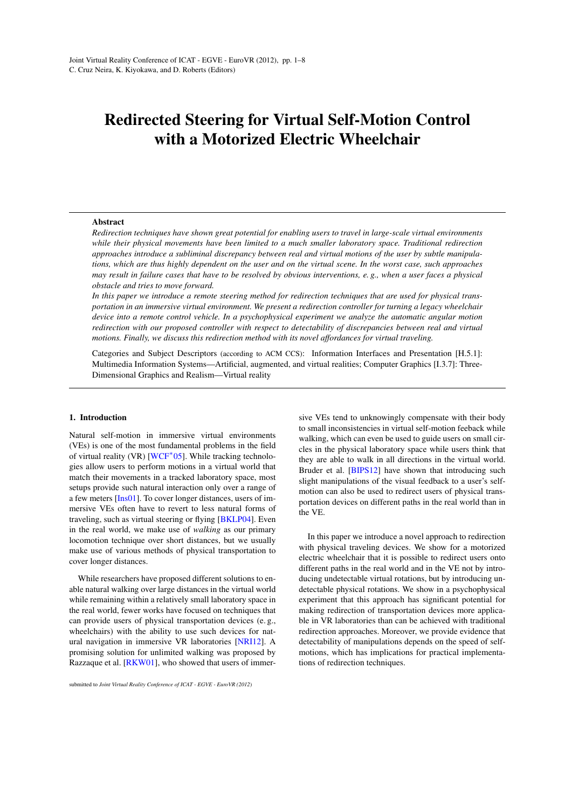# <span id="page-0-0"></span>Redirected Steering for Virtual Self-Motion Control with a Motorized Electric Wheelchair

#### Abstract

*Redirection techniques have shown great potential for enabling users to travel in large-scale virtual environments while their physical movements have been limited to a much smaller laboratory space. Traditional redirection approaches introduce a subliminal discrepancy between real and virtual motions of the user by subtle manipulations, which are thus highly dependent on the user and on the virtual scene. In the worst case, such approaches may result in failure cases that have to be resolved by obvious interventions, e. g., when a user faces a physical obstacle and tries to move forward.*

*In this paper we introduce a remote steering method for redirection techniques that are used for physical transportation in an immersive virtual environment. We present a redirection controller for turning a legacy wheelchair device into a remote control vehicle. In a psychophysical experiment we analyze the automatic angular motion redirection with our proposed controller with respect to detectability of discrepancies between real and virtual motions. Finally, we discuss this redirection method with its novel affordances for virtual traveling.*

Categories and Subject Descriptors (according to ACM CCS): Information Interfaces and Presentation [H.5.1]: Multimedia Information Systems—Artificial, augmented, and virtual realities; Computer Graphics [I.3.7]: Three-Dimensional Graphics and Realism—Virtual reality

#### 1. Introduction

Natural self-motion in immersive virtual environments (VEs) is one of the most fundamental problems in the field of virtual reality (VR) [\[WCF](#page-7-0)<sup>\*</sup>05]. While tracking technologies allow users to perform motions in a virtual world that match their movements in a tracked laboratory space, most setups provide such natural interaction only over a range of a few meters [\[Ins01\]](#page-6-0). To cover longer distances, users of immersive VEs often have to revert to less natural forms of traveling, such as virtual steering or flying [\[BKLP04\]](#page-6-1). Even in the real world, we make use of *walking* as our primary locomotion technique over short distances, but we usually make use of various methods of physical transportation to cover longer distances.

While researchers have proposed different solutions to enable natural walking over large distances in the virtual world while remaining within a relatively small laboratory space in the real world, fewer works have focused on techniques that can provide users of physical transportation devices (e. g., wheelchairs) with the ability to use such devices for natural navigation in immersive VR laboratories [\[NRI12\]](#page-6-2). A promising solution for unlimited walking was proposed by Razzaque et al. [\[RKW01\]](#page-6-3), who showed that users of immersive VEs tend to unknowingly compensate with their body to small inconsistencies in virtual self-motion feeback while walking, which can even be used to guide users on small circles in the physical laboratory space while users think that they are able to walk in all directions in the virtual world. Bruder et al. [\[BIPS12\]](#page-6-4) have shown that introducing such slight manipulations of the visual feedback to a user's selfmotion can also be used to redirect users of physical transportation devices on different paths in the real world than in the VE.

In this paper we introduce a novel approach to redirection with physical traveling devices. We show for a motorized electric wheelchair that it is possible to redirect users onto different paths in the real world and in the VE not by introducing undetectable virtual rotations, but by introducing undetectable physical rotations. We show in a psychophysical experiment that this approach has significant potential for making redirection of transportation devices more applicable in VR laboratories than can be achieved with traditional redirection approaches. Moreover, we provide evidence that detectability of manipulations depends on the speed of selfmotions, which has implications for practical implementations of redirection techniques.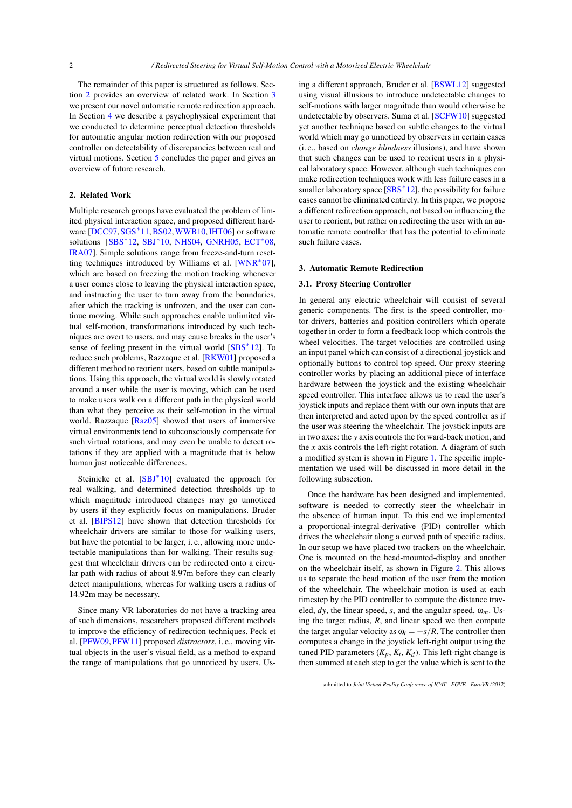<span id="page-1-2"></span>The remainder of this paper is structured as follows. Section [2](#page-1-0) provides an overview of related work. In Section [3](#page-1-1) we present our novel automatic remote redirection approach. In Section [4](#page-2-0) we describe a psychophysical experiment that we conducted to determine perceptual detection thresholds for automatic angular motion redirection with our proposed controller on detectability of discrepancies between real and virtual motions. Section [5](#page-6-5) concludes the paper and gives an overview of future research.

# <span id="page-1-0"></span>2. Related Work

Multiple research groups have evaluated the problem of limited physical interaction space, and proposed different hard-ware [\[DCC97,](#page-6-6) [SGS](#page-6-7)<sup>\*</sup>11, [BS02,](#page-6-8) [WWB10,](#page-7-1) [IHT06\]](#page-6-9) or software solutions [\[SBS](#page-6-10)<sup>\*</sup>12, [SBJ](#page-6-11)<sup>\*</sup>10, [NHS04,](#page-6-12) [GNRH05,](#page-6-13) [ECT](#page-6-14)<sup>\*</sup>08, [IRA07\]](#page-6-15). Simple solutions range from freeze-and-turn reset-ting techniques introduced by Williams et al. [\[WNR](#page-7-2)<sup>∗</sup>07], which are based on freezing the motion tracking whenever a user comes close to leaving the physical interaction space, and instructing the user to turn away from the boundaries, after which the tracking is unfrozen, and the user can continue moving. While such approaches enable unlimited virtual self-motion, transformations introduced by such techniques are overt to users, and may cause breaks in the user's sense of feeling present in the virtual world [\[SBS](#page-6-10)<sup>\*</sup>12]. To reduce such problems, Razzaque et al. [\[RKW01\]](#page-6-3) proposed a different method to reorient users, based on subtle manipulations. Using this approach, the virtual world is slowly rotated around a user while the user is moving, which can be used to make users walk on a different path in the physical world than what they perceive as their self-motion in the virtual world. Razzaque [\[Raz05\]](#page-6-16) showed that users of immersive virtual environments tend to subconsciously compensate for such virtual rotations, and may even be unable to detect rotations if they are applied with a magnitude that is below human just noticeable differences.

Steinicke et al. [\[SBJ](#page-6-11)<sup>\*</sup>10] evaluated the approach for real walking, and determined detection thresholds up to which magnitude introduced changes may go unnoticed by users if they explicitly focus on manipulations. Bruder et al. [\[BIPS12\]](#page-6-4) have shown that detection thresholds for wheelchair drivers are similar to those for walking users, but have the potential to be larger, i. e., allowing more undetectable manipulations than for walking. Their results suggest that wheelchair drivers can be redirected onto a circular path with radius of about 8.97m before they can clearly detect manipulations, whereas for walking users a radius of 14.92m may be necessary.

Since many VR laboratories do not have a tracking area of such dimensions, researchers proposed different methods to improve the efficiency of redirection techniques. Peck et al. [\[PFW09,](#page-6-17)[PFW11\]](#page-6-18) proposed *distractors*, i. e., moving virtual objects in the user's visual field, as a method to expand the range of manipulations that go unnoticed by users. Using a different approach, Bruder et al. [\[BSWL12\]](#page-6-19) suggested using visual illusions to introduce undetectable changes to self-motions with larger magnitude than would otherwise be undetectable by observers. Suma et al. [\[SCFW10\]](#page-6-20) suggested yet another technique based on subtle changes to the virtual world which may go unnoticed by observers in certain cases (i. e., based on *change blindness* illusions), and have shown that such changes can be used to reorient users in a physical laboratory space. However, although such techniques can make redirection techniques work with less failure cases in a smaller laboratory space [\[SBS](#page-6-10)<sup>\*</sup>12], the possibility for failure cases cannot be eliminated entirely. In this paper, we propose a different redirection approach, not based on influencing the user to reorient, but rather on redirecting the user with an automatic remote controller that has the potential to eliminate such failure cases.

#### <span id="page-1-1"></span>3. Automatic Remote Redirection

#### 3.1. Proxy Steering Controller

In general any electric wheelchair will consist of several generic components. The first is the speed controller, motor drivers, batteries and position controllers which operate together in order to form a feedback loop which controls the wheel velocities. The target velocities are controlled using an input panel which can consist of a directional joystick and optionally buttons to control top speed. Our proxy steering controller works by placing an additional piece of interface hardware between the joystick and the existing wheelchair speed controller. This interface allows us to read the user's joystick inputs and replace them with our own inputs that are then interpreted and acted upon by the speed controller as if the user was steering the wheelchair. The joystick inputs are in two axes: the *y* axis controls the forward-back motion, and the *x* axis controls the left-right rotation. A diagram of such a modified system is shown in Figure [1.](#page-2-1) The specific implementation we used will be discussed in more detail in the following subsection.

Once the hardware has been designed and implemented, software is needed to correctly steer the wheelchair in the absence of human input. To this end we implemented a proportional-integral-derivative (PID) controller which drives the wheelchair along a curved path of specific radius. In our setup we have placed two trackers on the wheelchair. One is mounted on the head-mounted-display and another on the wheelchair itself, as shown in Figure [2.](#page-2-2) This allows us to separate the head motion of the user from the motion of the wheelchair. The wheelchair motion is used at each timestep by the PID controller to compute the distance traveled,  $dy$ , the linear speed, *s*, and the angular speed,  $\omega_m$ . Using the target radius, *R*, and linear speed we then compute the target angular velocity as  $\omega_t = -s/R$ . The controller then computes a change in the joystick left-right output using the tuned PID parameters  $(K_p, K_i, K_d)$ . This left-right change is then summed at each step to get the value which is sent to the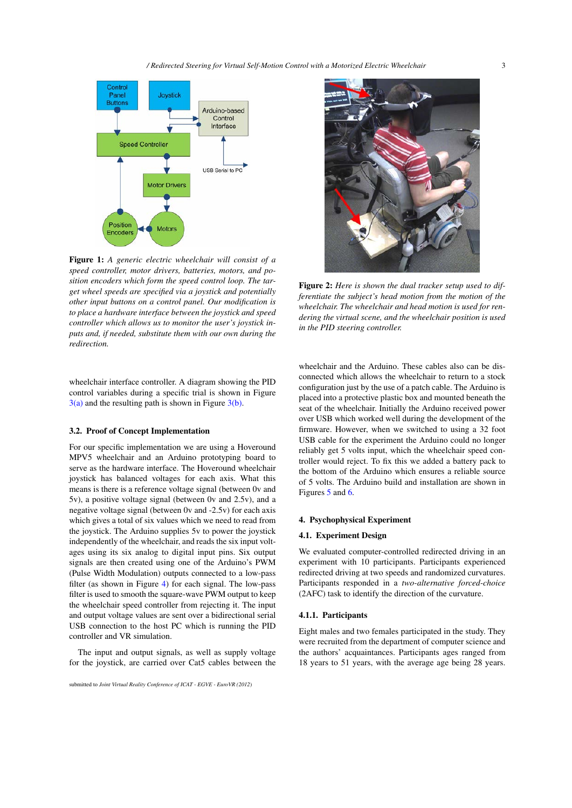

<span id="page-2-1"></span>Figure 1: *A generic electric wheelchair will consist of a speed controller, motor drivers, batteries, motors, and position encoders which form the speed control loop. The target wheel speeds are specified via a joystick and potentially other input buttons on a control panel. Our modification is to place a hardware interface between the joystick and speed controller which allows us to monitor the user's joystick inputs and, if needed, substitute them with our own during the redirection.*

wheelchair interface controller. A diagram showing the PID control variables during a specific trial is shown in Figure  $3(a)$  and the resulting path is shown in Figure  $3(b)$ .

## <span id="page-2-3"></span>3.2. Proof of Concept Implementation

For our specific implementation we are using a Hoveround MPV5 wheelchair and an Arduino prototyping board to serve as the hardware interface. The Hoveround wheelchair joystick has balanced voltages for each axis. What this means is there is a reference voltage signal (between 0v and 5v), a positive voltage signal (between 0v and 2.5v), and a negative voltage signal (between 0v and -2.5v) for each axis which gives a total of six values which we need to read from the joystick. The Arduino supplies 5v to power the joystick independently of the wheelchair, and reads the six input voltages using its six analog to digital input pins. Six output signals are then created using one of the Arduino's PWM (Pulse Width Modulation) outputs connected to a low-pass filter (as shown in Figure [4\)](#page-3-2) for each signal. The low-pass filter is used to smooth the square-wave PWM output to keep the wheelchair speed controller from rejecting it. The input and output voltage values are sent over a bidirectional serial USB connection to the host PC which is running the PID controller and VR simulation.

The input and output signals, as well as supply voltage for the joystick, are carried over Cat5 cables between the



Figure 2: *Here is shown the dual tracker setup used to differentiate the subject's head motion from the motion of the wheelchair. The wheelchair and head motion is used for rendering the virtual scene, and the wheelchair position is used in the PID steering controller.*

<span id="page-2-2"></span>wheelchair and the Arduino. These cables also can be disconnected which allows the wheelchair to return to a stock configuration just by the use of a patch cable. The Arduino is placed into a protective plastic box and mounted beneath the seat of the wheelchair. Initially the Arduino received power over USB which worked well during the development of the firmware. However, when we switched to using a 32 foot USB cable for the experiment the Arduino could no longer reliably get 5 volts input, which the wheelchair speed controller would reject. To fix this we added a battery pack to the bottom of the Arduino which ensures a reliable source of 5 volts. The Arduino build and installation are shown in Figures [5](#page-3-3) and [6.](#page-3-4)

## <span id="page-2-0"></span>4. Psychophysical Experiment

#### 4.1. Experiment Design

We evaluated computer-controlled redirected driving in an experiment with 10 participants. Participants experienced redirected driving at two speeds and randomized curvatures. Participants responded in a *two-alternative forced-choice* (2AFC) task to identify the direction of the curvature.

## 4.1.1. Participants

Eight males and two females participated in the study. They were recruited from the department of computer science and the authors' acquaintances. Participants ages ranged from 18 years to 51 years, with the average age being 28 years.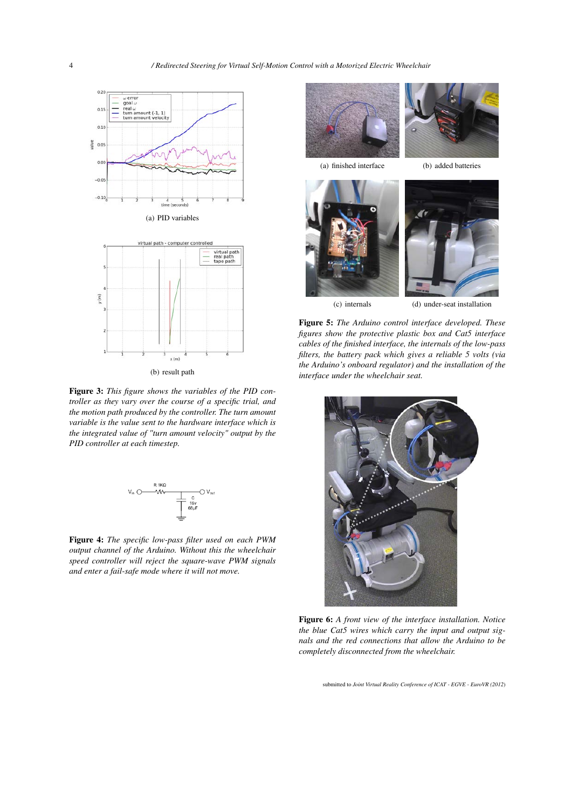<span id="page-3-0"></span>



(b) result path

<span id="page-3-1"></span>Figure 3: *This figure shows the variables of the PID controller as they vary over the course of a specific trial, and the motion path produced by the controller. The turn amount variable is the value sent to the hardware interface which is the integrated value of "turn amount velocity" output by the PID controller at each timestep.*



<span id="page-3-2"></span>Figure 4: *The specific low-pass filter used on each PWM output channel of the Arduino. Without this the wheelchair speed controller will reject the square-wave PWM signals and enter a fail-safe mode where it will not move.*







<span id="page-3-3"></span>

(c) internals (d) under-seat installation

Figure 5: *The Arduino control interface developed. These figures show the protective plastic box and Cat5 interface cables of the finished interface, the internals of the low-pass filters, the battery pack which gives a reliable 5 volts (via the Arduino's onboard regulator) and the installation of the interface under the wheelchair seat.*

<span id="page-3-4"></span>

Figure 6: *A front view of the interface installation. Notice the blue Cat5 wires which carry the input and output signals and the red connections that allow the Arduino to be completely disconnected from the wheelchair.*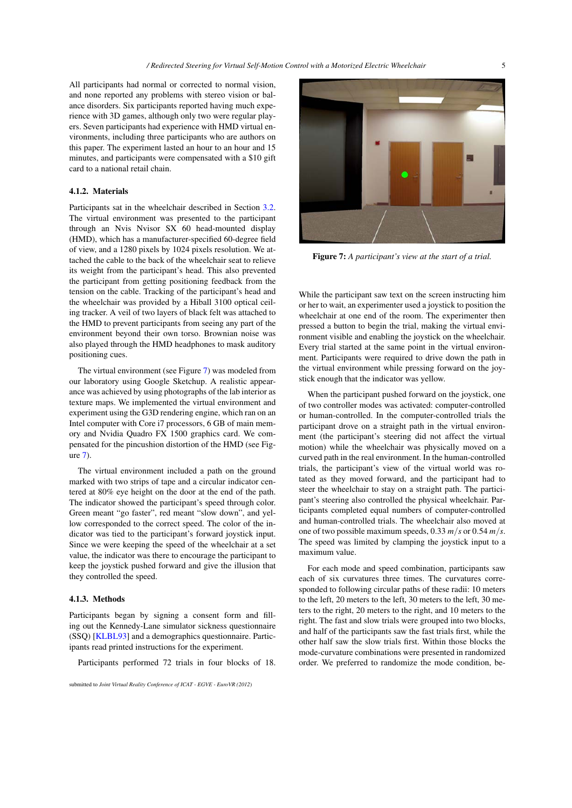<span id="page-4-1"></span>All participants had normal or corrected to normal vision, and none reported any problems with stereo vision or balance disorders. Six participants reported having much experience with 3D games, although only two were regular players. Seven participants had experience with HMD virtual environments, including three participants who are authors on this paper. The experiment lasted an hour to an hour and 15 minutes, and participants were compensated with a \$10 gift card to a national retail chain.

# 4.1.2. Materials

Participants sat in the wheelchair described in Section [3.2.](#page-2-3) The virtual environment was presented to the participant through an Nvis Nvisor SX 60 head-mounted display (HMD), which has a manufacturer-specified 60-degree field of view, and a 1280 pixels by 1024 pixels resolution. We attached the cable to the back of the wheelchair seat to relieve its weight from the participant's head. This also prevented the participant from getting positioning feedback from the tension on the cable. Tracking of the participant's head and the wheelchair was provided by a Hiball 3100 optical ceiling tracker. A veil of two layers of black felt was attached to the HMD to prevent participants from seeing any part of the environment beyond their own torso. Brownian noise was also played through the HMD headphones to mask auditory positioning cues.

The virtual environment (see Figure [7\)](#page-4-0) was modeled from our laboratory using Google Sketchup. A realistic appearance was achieved by using photographs of the lab interior as texture maps. We implemented the virtual environment and experiment using the G3D rendering engine, which ran on an Intel computer with Core i7 processors, 6 GB of main memory and Nvidia Quadro FX 1500 graphics card. We compensated for the pincushion distortion of the HMD (see Figure [7\)](#page-4-0).

The virtual environment included a path on the ground marked with two strips of tape and a circular indicator centered at 80% eye height on the door at the end of the path. The indicator showed the participant's speed through color. Green meant "go faster", red meant "slow down", and yellow corresponded to the correct speed. The color of the indicator was tied to the participant's forward joystick input. Since we were keeping the speed of the wheelchair at a set value, the indicator was there to encourage the participant to keep the joystick pushed forward and give the illusion that they controlled the speed.

#### 4.1.3. Methods

Participants began by signing a consent form and filling out the Kennedy-Lane simulator sickness questionnaire (SSQ) [\[KLBL93\]](#page-6-21) and a demographics questionnaire. Participants read printed instructions for the experiment.

Participants performed 72 trials in four blocks of 18.



Figure 7: *A participant's view at the start of a trial.*

<span id="page-4-0"></span>While the participant saw text on the screen instructing him or her to wait, an experimenter used a joystick to position the wheelchair at one end of the room. The experimenter then pressed a button to begin the trial, making the virtual environment visible and enabling the joystick on the wheelchair. Every trial started at the same point in the virtual environment. Participants were required to drive down the path in the virtual environment while pressing forward on the joystick enough that the indicator was yellow.

When the participant pushed forward on the joystick, one of two controller modes was activated: computer-controlled or human-controlled. In the computer-controlled trials the participant drove on a straight path in the virtual environment (the participant's steering did not affect the virtual motion) while the wheelchair was physically moved on a curved path in the real environment. In the human-controlled trials, the participant's view of the virtual world was rotated as they moved forward, and the participant had to steer the wheelchair to stay on a straight path. The participant's steering also controlled the physical wheelchair. Participants completed equal numbers of computer-controlled and human-controlled trials. The wheelchair also moved at one of two possible maximum speeds, 0.33 *m*/*s* or 0.54 *m*/*s*. The speed was limited by clamping the joystick input to a maximum value.

For each mode and speed combination, participants saw each of six curvatures three times. The curvatures corresponded to following circular paths of these radii: 10 meters to the left, 20 meters to the left, 30 meters to the left, 30 meters to the right, 20 meters to the right, and 10 meters to the right. The fast and slow trials were grouped into two blocks, and half of the participants saw the fast trials first, while the other half saw the slow trials first. Within those blocks the mode-curvature combinations were presented in randomized order. We preferred to randomize the mode condition, be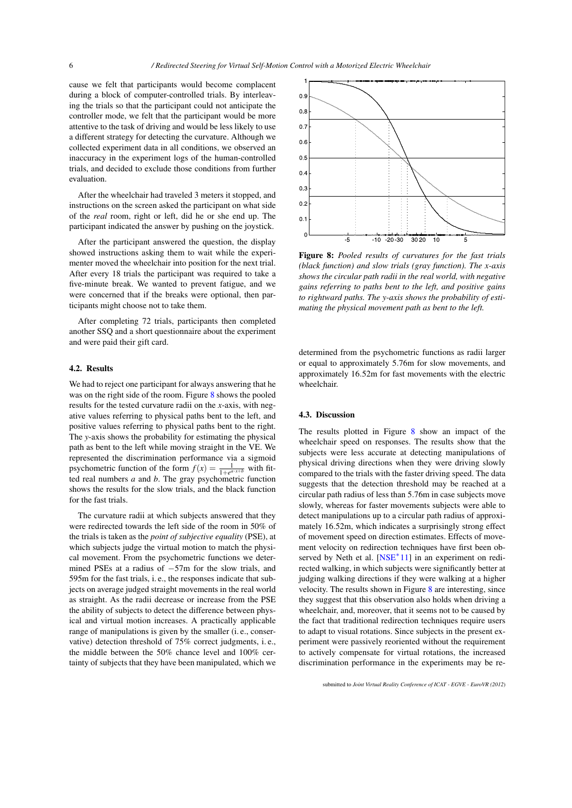<span id="page-5-1"></span>cause we felt that participants would become complacent during a block of computer-controlled trials. By interleaving the trials so that the participant could not anticipate the controller mode, we felt that the participant would be more attentive to the task of driving and would be less likely to use a different strategy for detecting the curvature. Although we collected experiment data in all conditions, we observed an inaccuracy in the experiment logs of the human-controlled trials, and decided to exclude those conditions from further evaluation.

After the wheelchair had traveled 3 meters it stopped, and instructions on the screen asked the participant on what side of the *real* room, right or left, did he or she end up. The participant indicated the answer by pushing on the joystick.

After the participant answered the question, the display showed instructions asking them to wait while the experimenter moved the wheelchair into position for the next trial. After every 18 trials the participant was required to take a five-minute break. We wanted to prevent fatigue, and we were concerned that if the breaks were optional, then participants might choose not to take them.

After completing 72 trials, participants then completed another SSQ and a short questionnaire about the experiment and were paid their gift card.

#### 4.2. Results

We had to reject one participant for always answering that he was on the right side of the room. Figure [8](#page-5-0) shows the pooled results for the tested curvature radii on the *x*-axis, with negative values referring to physical paths bent to the left, and positive values referring to physical paths bent to the right. The *y*-axis shows the probability for estimating the physical path as bent to the left while moving straight in the VE. We represented the discrimination performance via a sigmoid psychometric function of the form  $f(x) = \frac{1}{1 + e^{a \cdot x + b}}$  with fitted real numbers *a* and *b*. The gray psychometric function shows the results for the slow trials, and the black function for the fast trials.

The curvature radii at which subjects answered that they were redirected towards the left side of the room in 50% of the trials is taken as the *point of subjective equality* (PSE), at which subjects judge the virtual motion to match the physical movement. From the psychometric functions we determined PSEs at a radius of −57m for the slow trials, and 595m for the fast trials, i. e., the responses indicate that subjects on average judged straight movements in the real world as straight. As the radii decrease or increase from the PSE the ability of subjects to detect the difference between physical and virtual motion increases. A practically applicable range of manipulations is given by the smaller (i. e., conservative) detection threshold of 75% correct judgments, i. e., the middle between the 50% chance level and 100% certainty of subjects that they have been manipulated, which we



<span id="page-5-0"></span>Figure 8: *Pooled results of curvatures for the fast trials (black function) and slow trials (gray function). The x-axis shows the circular path radii in the real world, with negative gains referring to paths bent to the left, and positive gains to rightward paths. The y-axis shows the probability of estimating the physical movement path as bent to the left.*

determined from the psychometric functions as radii larger or equal to approximately 5.76m for slow movements, and approximately 16.52m for fast movements with the electric wheelchair.

## 4.3. Discussion

The results plotted in Figure [8](#page-5-0) show an impact of the wheelchair speed on responses. The results show that the subjects were less accurate at detecting manipulations of physical driving directions when they were driving slowly compared to the trials with the faster driving speed. The data suggests that the detection threshold may be reached at a circular path radius of less than 5.76m in case subjects move slowly, whereas for faster movements subjects were able to detect manipulations up to a circular path radius of approximately 16.52m, which indicates a surprisingly strong effect of movement speed on direction estimates. Effects of movement velocity on redirection techniques have first been ob-served by Neth et al. [\[NSE](#page-6-22)<sup>\*</sup>11] in an experiment on redirected walking, in which subjects were significantly better at judging walking directions if they were walking at a higher velocity. The results shown in Figure [8](#page-5-0) are interesting, since they suggest that this observation also holds when driving a wheelchair, and, moreover, that it seems not to be caused by the fact that traditional redirection techniques require users to adapt to visual rotations. Since subjects in the present experiment were passively reoriented without the requirement to actively compensate for virtual rotations, the increased discrimination performance in the experiments may be re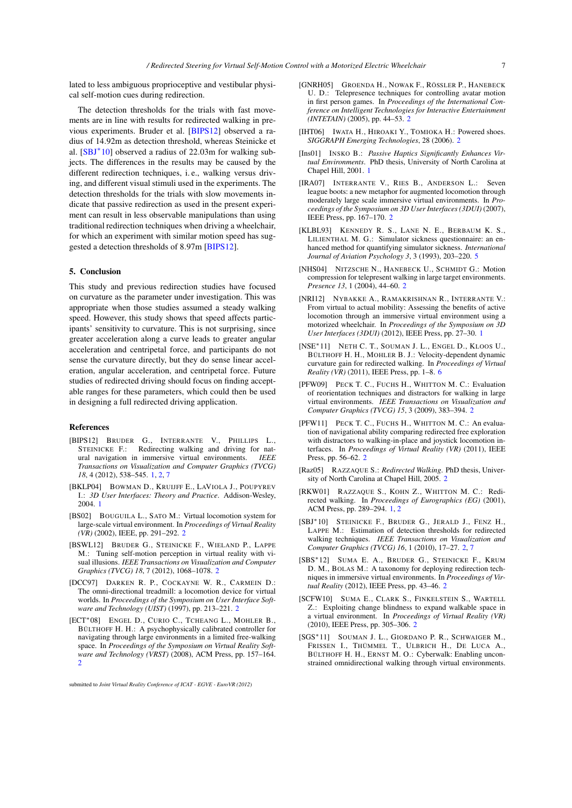<span id="page-6-23"></span>lated to less ambiguous proprioceptive and vestibular physical self-motion cues during redirection.

The detection thresholds for the trials with fast movements are in line with results for redirected walking in previous experiments. Bruder et al. [\[BIPS12\]](#page-6-4) observed a radius of 14.92m as detection threshold, whereas Steinicke et al. [\[SBJ](#page-6-11)<sup>\*</sup>10] observed a radius of 22.03m for walking subjects. The differences in the results may be caused by the different redirection techniques, i. e., walking versus driving, and different visual stimuli used in the experiments. The detection thresholds for the trials with slow movements indicate that passive redirection as used in the present experiment can result in less observable manipulations than using traditional redirection techniques when driving a wheelchair, for which an experiment with similar motion speed has suggested a detection thresholds of 8.97m [\[BIPS12\]](#page-6-4).

### <span id="page-6-5"></span>5. Conclusion

This study and previous redirection studies have focused on curvature as the parameter under investigation. This was appropriate when those studies assumed a steady walking speed. However, this study shows that speed affects participants' sensitivity to curvature. This is not surprising, since greater acceleration along a curve leads to greater angular acceleration and centripetal force, and participants do not sense the curvature directly, but they do sense linear acceleration, angular acceleration, and centripetal force. Future studies of redirected driving should focus on finding acceptable ranges for these parameters, which could then be used in designing a full redirected driving application.

#### References

- <span id="page-6-4"></span>[BIPS12] BRUDER G., INTERRANTE V., PHILLIPS L., STEINICKE F.: Redirecting walking and driving for nat-<br>ural navigation in immersive virtual environments. IEEE ural navigation in immersive virtual environments. *Transactions on Visualization and Computer Graphics (TVCG) 18*, 4 (2012), 538–545. [1,](#page-0-0) [2,](#page-1-2) [7](#page-6-23)
- <span id="page-6-1"></span>[BKLP04] BOWMAN D., KRUIJFF E., LAVIOLA J., POUPYREV I.: *3D User Interfaces: Theory and Practice*. Addison-Wesley, 2004. [1](#page-0-0)
- <span id="page-6-8"></span>[BS02] BOUGUILA L., SATO M.: Virtual locomotion system for large-scale virtual environment. In *Proceedings of Virtual Reality (VR)* (2002), IEEE, pp. 291–292. [2](#page-1-2)
- <span id="page-6-19"></span>[BSWL12] BRUDER G., STEINICKE F., WIELAND P., LAPPE M.: Tuning self-motion perception in virtual reality with visual illusions. *IEEE Transactions on Visualization and Computer Graphics (TVCG) 18*, 7 (2012), 1068–1078. [2](#page-1-2)
- <span id="page-6-6"></span>[DCC97] DARKEN R. P., COCKAYNE W. R., CARMEIN D.: The omni-directional treadmill: a locomotion device for virtual worlds. In *Proceedings of the Symposium on User Interface Software and Technology (UIST)* (1997), pp. 213–221. [2](#page-1-2)
- <span id="page-6-14"></span>[ECT∗08] ENGEL D., CURIO C., TCHEANG L., MOHLER B., BÜLTHOFF H. H.: A psychophysically calibrated controller for navigating through large environments in a limited free-walking space. In *Proceedings of the Symposium on Virtual Reality Software and Technology (VRST)* (2008), ACM Press, pp. 157–164. [2](#page-1-2)
- <span id="page-6-13"></span>[GNRH05] GROENDA H., NOWAK F., RÖSSLER P., HANEBECK U. D.: Telepresence techniques for controlling avatar motion in first person games. In *Proceedings of the International Conference on Intelligent Technologies for Interactive Entertainment (INTETAIN)* (2005), pp. 44–53. [2](#page-1-2)
- <span id="page-6-9"></span>[IHT06] IWATA H., HIROAKI Y., TOMIOKA H.: Powered shoes. *SIGGRAPH Emerging Technologies*, 28 (2006). [2](#page-1-2)
- <span id="page-6-0"></span>[Ins01] INSKO B.: *Passive Haptics Significantly Enhances Virtual Environments*. PhD thesis, University of North Carolina at Chapel Hill, 2001. [1](#page-0-0)
- <span id="page-6-15"></span>[IRA07] INTERRANTE V., RIES B., ANDERSON L.: Seven league boots: a new metaphor for augmented locomotion through moderately large scale immersive virtual environments. In *Proceedings of the Symposium on 3D User Interfaces (3DUI)* (2007), IEEE Press, pp. 167–170. [2](#page-1-2)
- <span id="page-6-21"></span>[KLBL93] KENNEDY R. S., LANE N. E., BERBAUM K. S., LILIENTHAL M. G.: Simulator sickness questionnaire: an enhanced method for quantifying simulator sickness. *International Journal of Aviation Psychology 3*, 3 (1993), 203–220. [5](#page-4-1)
- <span id="page-6-12"></span>[NHS04] NITZSCHE N., HANEBECK U., SCHMIDT G.: Motion compression for telepresent walking in large target environments. *Presence 13*, 1 (2004), 44–60. [2](#page-1-2)
- <span id="page-6-2"></span>[NRI12] NYBAKKE A., RAMAKRISHNAN R., INTERRANTE V.: From virtual to actual mobility: Assessing the benefits of active locomotion through an immersive virtual environment using a motorized wheelchair. In *Proceedings of the Symposium on 3D User Interfaces (3DUI)* (2012), IEEE Press, pp. 27–30. [1](#page-0-0)
- <span id="page-6-22"></span>[NSE∗11] NETH C. T., SOUMAN J. L., ENGEL D., KLOOS U., BÜLTHOFF H. H., MOHLER B. J.: Velocity-dependent dynamic curvature gain for redirected walking. In *Proceedings of Virtual Reality (VR)* (2011), IEEE Press, pp. 1–8. [6](#page-5-1)
- <span id="page-6-17"></span>[PFW09] PECK T. C., FUCHS H., WHITTON M. C.: Evaluation of reorientation techniques and distractors for walking in large virtual environments. *IEEE Transactions on Visualization and Computer Graphics (TVCG) 15*, 3 (2009), 383–394. [2](#page-1-2)
- <span id="page-6-18"></span>[PFW11] PECK T. C., FUCHS H., WHITTON M. C.: An evaluation of navigational ability comparing redirected free exploration with distractors to walking-in-place and joystick locomotion interfaces. In *Proceedings of Virtual Reality (VR)* (2011), IEEE Press, pp. 56–62. [2](#page-1-2)
- <span id="page-6-16"></span>[Raz05] RAZZAQUE S.: *Redirected Walking*. PhD thesis, University of North Carolina at Chapel Hill, 2005. [2](#page-1-2)
- <span id="page-6-3"></span>[RKW01] RAZZAQUE S., KOHN Z., WHITTON M. C.: Redirected walking. In *Proceedings of Eurographics (EG)* (2001), ACM Press, pp. 289–294. [1,](#page-0-0) [2](#page-1-2)
- <span id="page-6-11"></span>[SBJ∗10] STEINICKE F., BRUDER G., JERALD J., FENZ H., LAPPE M.: Estimation of detection thresholds for redirected walking techniques. *IEEE Transactions on Visualization and Computer Graphics (TVCG) 16*, 1 (2010), 17–27. [2,](#page-1-2) [7](#page-6-23)
- <span id="page-6-10"></span>[SBS∗12] SUMA E. A., BRUDER G., STEINICKE F., KRUM D. M., BOLAS M.: A taxonomy for deploying redirection techniques in immersive virtual environments. In *Proceedings of Virtual Reality* (2012), IEEE Press, pp. 43–46. [2](#page-1-2)
- <span id="page-6-20"></span>[SCFW10] SUMA E., CLARK S., FINKELSTEIN S., WARTELL Z.: Exploiting change blindness to expand walkable space in a virtual environment. In *Proceedings of Virtual Reality (VR)* (2010), IEEE Press, pp. 305–306. [2](#page-1-2)
- <span id="page-6-7"></span>[SGS∗11] SOUMAN J. L., GIORDANO P. R., SCHWAIGER M., FRISSEN I., THÜMMEL T., ULBRICH H., DE LUCA A., BÜLTHOFF H. H., ERNST M. O.: Cyberwalk: Enabling unconstrained omnidirectional walking through virtual environments.

submitted to *Joint Virtual Reality Conference of ICAT - EGVE - EuroVR (2012*)